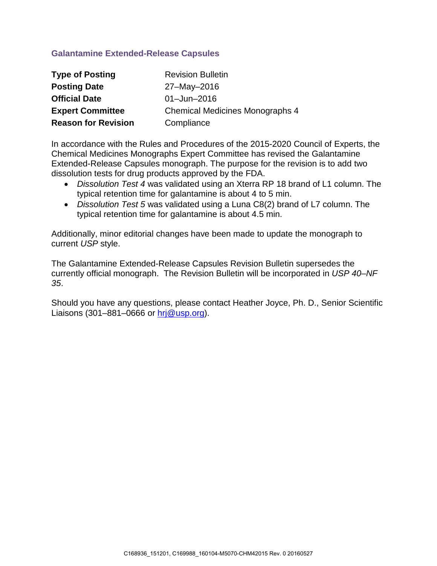## **Galantamine Extended-Release Capsules**

| <b>Type of Posting</b>     | <b>Revision Bulletin</b>               |
|----------------------------|----------------------------------------|
| <b>Posting Date</b>        | 27-May-2016                            |
| <b>Official Date</b>       | $01 - Jun - 2016$                      |
| <b>Expert Committee</b>    | <b>Chemical Medicines Monographs 4</b> |
| <b>Reason for Revision</b> | Compliance                             |

In accordance with the Rules and Procedures of the 2015-2020 Council of Experts, the Chemical Medicines Monographs Expert Committee has revised the Galantamine Extended-Release Capsules monograph. The purpose for the revision is to add two dissolution tests for drug products approved by the FDA.

- *Dissolution Test 4* was validated using an Xterra RP 18 brand of L1 column. The typical retention time for galantamine is about 4 to 5 min.
- *Dissolution Test 5* was validated using a Luna C8(2) brand of L7 column. The typical retention time for galantamine is about 4.5 min.

Additionally, minor editorial changes have been made to update the monograph to current *USP* style.

The Galantamine Extended-Release Capsules Revision Bulletin supersedes the currently official monograph. The Revision Bulletin will be incorporated in *USP 40–NF 35*.

Should you have any questions, please contact Heather Joyce, Ph. D., Senior Scientific Liaisons (301–881–0666 or  $hrj@usp.org$ ).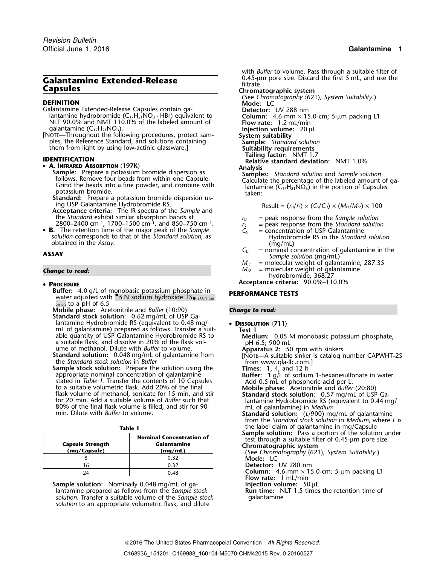# **Galantamine Extended-Release Calantamine Extended-Release Capsules Capsules Capsules Chromatographic system**

- Galantamine Extended-Release Capsules contain ga-<br>**Iantamine hydrobromide (C<sub>17</sub>H<sub>21</sub>NO<sub>3</sub> · HBr) equivalent to** NLT 90.0% and NMT 110.0% of the labeled amount of **Flow rate:** 1.2 mL/min **particle 1.6-mm × 15.0-cm**<br>galantamine (C<sub>17</sub>H<sub>21</sub>NO<sub>3</sub>).
- [NOTE—Throughout the following procedures, protect sam- **System suitability** ples, the Reference Standard, and solutions containing<br>them from light by using low-actinic glassware.] **Sample:** *Standard solution*<br>**Suitability requirements** them from light by using low-actinic glassware.] **Suitability requirements**<br>Tailing factor: NMT 1.7

### •

• **A. INFRARED ABSORPTION**  $\langle 197K \rangle$ <br> **Sample:** Prepare a potassium bromide dispersion as<br>
follows. Remove four beads from within one Capsule.<br>
Grind the beads into a fine powder, and combine with<br>
potassium bromide.<br>

- ing USP Galantamine Hydrobromide RS.<br>**Acceptance criteria:** The IR spectra of the Sample and **Example 18 Result = (r**<sub>u</sub>/r<sub>s</sub>) × (C<sub>s</sub>/C<sub>u</sub>) × (M<sub>r1</sub>/M<sub>r2</sub>) × 100 the *Standard* exhibit similar absorption bands at *r<sub>U</sub>* = peak response from the *Sample solution*<br>
2800–2400 cm<sup>−1</sup>, 1700–1500 cm<sup>−1</sup>, and 850–750 cm<sup>−1</sup>. *r<sub>S</sub>* = peak response from the *Standard solutio*<br>
The retenti
- B. **B**. The retention time of the major peak of the *Sample*  $C_5$  = concentration of USP Galantamine
- obtained in the *Assay*. (mg/mL)  $C_U$  = nominal contained in the *Assay*.

## •

- **Buffer:** 4.0 g/L of monobasic potassium phosphate in **PERFORMANCE TESTS** water adjusted with <sup>6</sup>.5 N sodium hydroxide TS<sub>• (RB 1-Jun-</sub>  $_{2016}$  to a pH of 6.5
- **Mobile phase:** Acetonitrile and *Buffer* (10:90) *Change to read:* **Standard stock solution:** 0.62 mg/mL of USP Galantamine Hydrobromide RS (equivalent to 0.48 mg/ • **<sup>D</sup>ISSOLUTION** 〈**711**〉 mL of galantamine) prepared as follows. Transfer a suit- **Test 1** able quantity of USP Galantamine Hydrobromide RS to<br>
a suitable flask, and dissolve in 20% of the flask vol-<br>
ume of methanol. Dilute with *Buffer* to volume.<br> **Standard solution:** 0.048 mg/mL of galantamine from<br>
the *Sta*

**Sample stock solution:** Prepare the solution using the<br>
appropriate nominal concentration of galantamine<br>
stated in *Table 1*. Transfer the contents of 10 Capsules<br>
to a suitable volumetric flask. Add 20% of the final<br>
f

|                                         |                                                           | <b>Sample solution:</b> Pass a portion of the solution under                                                                         |
|-----------------------------------------|-----------------------------------------------------------|--------------------------------------------------------------------------------------------------------------------------------------|
| <b>Capsule Strength</b><br>(mg/Capsule) | <b>Nominal Concentration of</b><br>Galantamine<br>(mq/mL) | test through a suitable filter of 0.45-um pore size.<br>Chromatographic system<br>(See Chromatography $(621)$ , System Suitability.) |
|                                         | 0.32                                                      | Mode: LC                                                                                                                             |
|                                         | 0.32                                                      | Detector: UV 280 nm                                                                                                                  |
|                                         | 0.48                                                      | Column: 4.6-mm $\times$ 15.0-cm; 5-µm packing L1                                                                                     |

**Sample solution:** Nominally 0.048 mg/mL of ga-<br>Iantamine prepared as follows from the Sample stock **Run time:** NLT 1.5 times the retention time of lantamine prepared as follows from the *Sample* stock **Run time:** Network of the sample stock and return times the return of the *Sample stock* and return time of the *Sample stock* and *qalantamine solution*. Transfer a suitable volume of the *Sample stock* galantamine *solution* to an appropriate volumetric flask, and dilute

with *Buffer* to volume. Pass through a suitable filter of 0.45-µm pore size. Discard the first 5 mL, and use the

Commatography **(621)**, *System Suitability*.)<br>
Calantamine Extended-Release Capsules contain ga-<br>
lantamine hydrobromide (C<sub>17</sub>H<sub>21</sub>NO<sub>3</sub> · HBr) equivalent to **Detector:** UV 288 nm<br> **Column:** 4.6-mm × 15.0-cm; 5-µm packing **Injection volume:** 20 μL<br>System suitability **Tailing factor:** NMT 1.7<br> **Relative standard deviation:** NMT 1.0%<br> **Relative standard deviation:** NMT 1.0%

- 
- = peak response from the *Standard solution*<br>= concentration of USP Galantamine
- *solution* corresponds to that of the *Standard solution*, as Hydrobromide RS in the *Standard solution*
- **ASSAY ASSAY SAMPLE ASSAY SAMPLE ASSAY SAMPLE ASSAY SAMPLE ASSAY SAMPLE ASSAY SAMPLE ASSAY SAMPLE ASSAY SAMPLE ASSAY** *M***<sub>t</sub> and <b>a** molecular weight of galantamine, 287.35 **M**<sub>c</sub> and *M***<sub>c</sub>** and *M***<sub>c**</sub>
	- = molecular weight of galantamine, 287.35
- **Change to read: Change to read:** *M<sub>r2</sub>* **= molecular weight of galantamine** 
	- hydrobromide, 368.27
	- **<sup>P</sup>ROCEDURE Acceptance criteria:** 90.0%–110.0%

- 
- 
- 
- 

Standard solution: (L/900) mg/mL of galantamine

from the *Standard stock solution* in *Medium*, where *L* is **Table 1** the label claim of galantamine in mg/Capsule

<sup>24</sup> 0.48 **Column:** 4.6-mm × 15.0-cm; 5-µm packing L1 **Flow rate:** 1 mL/min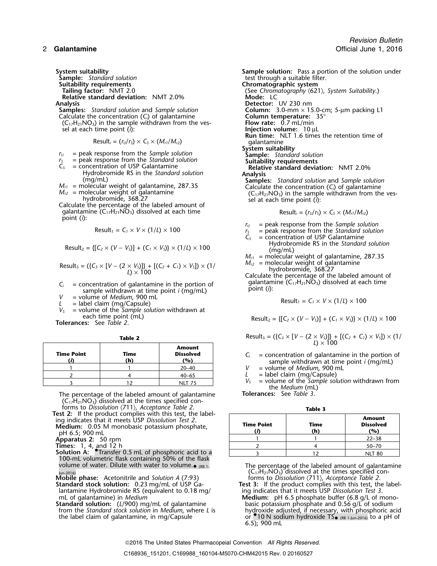- **Suitability requirements<br>Tailing factor: NMT 2.0 Relative standard deviation: NMT 2.0%**
- Calculate the concentration  $(C_i)$  of galantamine **Column temperature:**<br> $(C_1, H_2, N_1)$  in the sample withdrawn from the ves-<br>**Flow rate:** 0.7 mL/min  $(C_{17}H_{21}NO_3)$  in the sample withdrawn from the vessel at each time point (*i*):

 $Result_i = (r_U/r_S) \times C_S \times (M_{r1}/M_{r2})$ 

- $r_U$  = peak response from the *Sample solution*<br> $r_S$  = peak response from the *Standard solution*
- 
- 
- 
- 
- galantamine  $(C_1, H_2, NO_3)$  dissolved at each time Result<sub>i</sub> =  $(r_U/r_S) \times C_S \times (M_{r1}/M_{r2})$ point (*i*):

$$
Result_1 = C_1 \times V \times (1/L) \times 100
$$

Result<sub>2</sub> = {[
$$
C_2 \times (V - V_s)
$$
] + ( $C_1 \times V_s$ )} \times (1/L) \times 100

Result<sub>3</sub> = (
$$
{C_3 \times [V - (2 \times V_5)]}
$$
) +  $[(C_2 + C_1) \times V_5]$ ) × (1/  
\n $l$ ) × 100  
\n*M<sub>12</sub>* = molecular weight of galantamine  
\nhydrobromide, 368.27  
\nCalculate the percentage of the labeled amount of

- galantamine (C17H21NO3) dissolved at each time *<sup>C</sup><sup>i</sup>* = concentration of galantamine in the portion of point (*i*): sample withdrawn at time point *i* (mg/mL) *V* = volume of *Medium*, 900 mL<br> *L* = label claim (mg/Capsule)<br> *L* = label claim (mg/Capsule)
- 
- 
- $V_s$  = volume of the *Sample solution* withdrawn at each time point (mL)

| <b>Time Point</b> | Time<br>'n | <b>Amount</b><br><b>Dissolved</b><br>$\mathcal{P}(\mathbf{o})$ |
|-------------------|------------|----------------------------------------------------------------|
|                   |            | $20 - 40$                                                      |
|                   |            | $40 - 65$                                                      |
|                   |            | NIT 75                                                         |

The percentage of the labeled amount of galantamine  $(C_1,H_{21}NO_3)$  dissolved at the times specified con-

forms to *Dissolution* 〈711〉*, Acceptance Table 2*. **Table 3 Test 2:** If the product complies with this test, the label-<br>
ing indicates that it meets USP *Dissolution Test 2*. **Medium: 0.05** M monobasic potassium phosphate, pH 6.5; 900 mL

- 100-mL volumetric flask containing 50% of the flask volume of water. Dilute with water to volume. $\bullet$  (RB 1.
- **Mobile phase:** Acetonitrile and *Solution A* (7:93) **Standard stock solution:** 0.23 mg/mL of USP Ga-
- lantamine Hydrobromide RS (equivalent to 0.18 mg/ mL of galantamine) in *Medium*
- **Standard solution:** (*L*/900) mg/mL of galantamine basic potassium phosphate and 0.56 g/L of sodium from the *Standard stock solution* in *Medium*, where *L* is hydroxide adjusted, if necessary, with phosphoric adjusted b the label claim of galantamine, in mg/Capsule

**System suitability**<br>**Sample:** Standard solution **Sample solution:** Pass a portion of the solution under<br>**Sample:** Standard solution test through a suitable filter.<br>**Chromatographic system** (See Chromatography  $(621)$ , System Suitability.)<br>Mode: LC **Analysis Detector:** UV 230 nm **Sample Solumn:** 3.0-mm × 15.0-cm; 5-µm packing L1 Column temperature: 35° sel at each time point (*i*): **Injection volume:** 10 µL **Run time:** NLT 1.6 times the retention time of **System suitability<br>
Sample:** Standard solution<br> **Suitability requirements**  $r_s$  = peak response from the *Standard solution*<br>  $C_s$  = concentration of USP Galantamine **Relative standard deviation:** NMT 2.0%<br>
Hydrobromide RS in the *Standard solution* **Analysis** Examples: Standard solution<br>  $M_{r1}$  = molecular weight of galantamine, 287.35<br>  $M_{r2}$  = molecular weight of galantamine, 287.35<br>  $M_{r2}$  = molecular weight of galantamine<br>  $M_{r2}$  = molecular weight of galantamine<br>  $M_{r$ 

- $r_U$  = peak response from the *Sample solution*<br> $r_S$  = peak response from the *Standard solution*<br> $C_S$  = concentration of USP Galantamine
	-
	- $=$  concentration of USP Galantamine
	- Hydrobromide RS in the *Standard solution* (mg/mL)
	-
	- $M_{r1}$  = molecular weight of galantamine, 287.35  $M_{r2}$  = molecular weight of galantamine

$$
Result_1 = C_1 \times V \times (1/L) \times 100
$$

each time point (mL) each time point (mL)  $Result_2 = \{[C_2 \times (V - V_5)] + (C_1 \times V_5)\} \times (1/L) \times 100$ 

**Table 2**  
Result<sub>3</sub> = (
$$
{C_3 \times [V - (2 \times V_3)]} + [(C_2 + C_1) \times V_3] \times (1/2) \times 100
$$

 $T_i$  = concentration of galantamine in the portion of sample withdrawn at time point *i* (mg/mL)<br>  $V$  = volume of *Medium*. 900 mL

= volume of *Medium*, 900 mL

 $L =$  label claim (mg/Capsule)<br> $V_s =$  volume of the Sample sol  $=$  volume of the *Sample solution* withdrawn from the *Medium* (mL)<br>**Tolerances:** See *Table 3*.

| <b>est z:</b> If the product complies with this test, the label-<br>ing indicates that it meets USP Dissolution Test 2.<br>Medium: 0.05 M monobasic potassium phosphate,<br>pH 6.5; 900 mL | <b>Time Point</b> | Time<br>(h) | <b>Amount</b><br><b>Dissolved</b><br>(%) |
|--------------------------------------------------------------------------------------------------------------------------------------------------------------------------------------------|-------------------|-------------|------------------------------------------|
| Apparatus 2: 50 rpm                                                                                                                                                                        |                   |             | $22 - 38$                                |
| <b>Times:</b> 1, 4, and 12 h                                                                                                                                                               |                   |             | $50 - 70$                                |
| <b>Solution A:</b> Transfer 0.5 mL of phosphoric acid to a                                                                                                                                 |                   |             | <b>NLT 80</b>                            |

The percentage of the labeled amount of galantamine  $\frac{1}{10-2016}$ <br>Jun-2016)<br>**Jun-2016** (C<sub>17</sub>H<sub>21</sub>NO<sub>3</sub>) dissolved at the times specified con-<br>**Jun-2016** (C<sub>17</sub>H<sub>21</sub>NO<sub>3</sub>) dissolved at the times specified con-<br>**Supports** to Dissolution (711), Acceptance Table 2.

**Test 3:** If the product complies with this test, the labeling indicates that it meets USP Dissolution Test 3. mL of galantamine) in *Medium*<br>**Standard solution:** (L/900) mg/mL of galantamine basic potassium phosphate and 0.56 g/L of sodium from the *Standard stock solution* in *Medium*, where *L* is hydroxide adjusted, if necessary, with phosphoric acid  $\bullet$  <sub>(RB 1-Jun-2016)</sub> to a pH of 6.5); 900 mL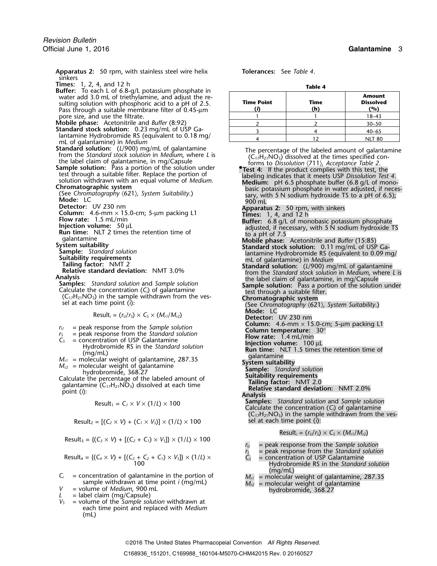**Apparatus 2:** 50 rpm, with stainless steel wire helix **Tolerances:** See *Table 4*. sinkers

- **Times:** 1, 2, 4, and 12 h **Table 4 Buffer:** To each L of 6.8-g/L potassium phosphate in sulting solution with phosphoric acid to a pH of 2.5. Pass through a suitable membrane filter of 0.45-µ<sup>m</sup> **(***i***) (h) (%)** pore size, and use the filtrate.
- 
- **Mobile phase:** Acetonitrile and *Buffer* (8:92)<br>**Standard stock solution:** 0.23 mg/mL of USP Galantamine Hydrobromide RS (equivalent to 0.18 mg/<br>mL of galantamine) in *Medium*<br>**Standard solution:** (L/900) mg/mL of galantamine
- **Standard solution:** (L/900) mg/mL of galantamine<br>from the *Standard stock solution* in *Medium*, where L is<br>the label claim of galantamine, in mg/Capsule<br>**Sample solution:** Pass a portion of the solution under<br>test throu
- 
- 
- 
- 
- 
- 
- 
- 
- 
- 
- 
- 
- 

Detector: UV 230 nm<br>
Column: 4.6-mm × 15.0-cm; 5-µm packing L1<br>
Flow rate: 1.5 mL/min<br>
Flow rate: 1.5 mL/min<br>
Intersection volume: 50 µL<br>
Run time: NLT 2 times the retention time of<br>
adjusted, if necessary, with 5 N sodiu

 $\text{Result}_i = (r_U/r_S) \times C_S \times (M_{r1}/M_{r2})$  **Mode:** LC **Detector:** UV 230 nm

- 
- 
- 
- 
- 
- $M_{r_1}$  = peak response from the *Sample solution*<br>  $M_{r_2}$  = peak response from the *Standard solution*<br>  $M_{r_1}$  = molecular weight of galantamine *Sample solution*<br>  $M_{r_2}$  = molecular weight of galantamine, 287.35<br>

$$
Result_1 = C_1 \times V \times (1/L) \times 100
$$

$$
Result_2 = [(C_2 \times V) + (C_1 \times V_5)] \times (1/L) \times 100
$$

Result<sub>3</sub> = {
$$
(C_3 \times V)
$$
 +  $[(C_2 + C_1) \times V_3]$ } × (1/L) × 100

Result<sub>4</sub> = {
$$
(C_4 \times V)
$$
 +  $[(C_3 + C_2 + C_1) \times V_3] \times (1/L) \times$   
100  
 $\overrightarrow{C_5}$  = concentration of USP Galantamine  
Hydrobromide RS in the *Standard*

- $C_i$  = concentration of galantamine in the portion of *M<sub>r1</sub>* = molecular weight of galantamine, 287.35 sample withdrawn at time point *i* (mg/mL)  $M_{r2}$  = molecular weight of galantamine
- 
- 
- *V<sup>S</sup>* = volume of the *Sample solution* withdrawn at each time point and replaced with *Medium* (mL)

| urier: To each L of 6.8-9/L potassium phosphate in<br>water add 3.0 mL of triethylamine, and adjust the re-<br>sulting solution with phosphoric acid to a pH of 2.5.<br>Pass through a suitable membrane filter of 0.45-µm | <b>Time Point</b> | Time<br>(h) | <b>Amount</b><br><b>Dissolved</b><br>(%) |
|----------------------------------------------------------------------------------------------------------------------------------------------------------------------------------------------------------------------------|-------------------|-------------|------------------------------------------|
| pore size, and use the filtrate.                                                                                                                                                                                           |                   |             | $18 - 43$                                |
| <b>Aobile phase:</b> Acetonitrile and Buffer (8:92)                                                                                                                                                                        |                   |             | $30 - 50$                                |
| tandard stock solution: 0.23 mg/mL of USP Ga-                                                                                                                                                                              |                   |             | $40 - 65$                                |
| lantamine Hydrobromide RS (equivalent to 0.18 mg/                                                                                                                                                                          |                   |             | <b>NLT 80</b>                            |

solution withdrawn with an equal volume of Medium.<br> **Chromatographic system**<br>
Chromatographic system Suitability.)<br>
(See Chromatography (621), System Suitability.)<br>
Mode: LC<br>
Detector: UV 230 nm<br>
Detector: UV 230 nm<br>
Detec

- 
- 
- 
- 
- 
- 
- 
- -
- 
- 
- 
- 
- 
- 
- -
	-
	-

**Samples:** *Standard solution* and *Sample solution* Calculate the concentration (*C*<sub>*i*</sub>) of galantamine  $(C_{17}H_{21}NO_3)$  in the sample withdrawn from the ves- $\delta$ sel at each time point (*i*):

$$
Result_i = (r_U/r_S) \times C_S \times (M_{r1}/M_{r2})
$$

- *<sup>r</sup><sup>U</sup>* = peak response from the *Sample solution*
- *<sup>r</sup><sup>S</sup>* = peak response from the *Standard solution*
- Hydrobromide RS in the *Standard solution*<br>(mg/mL)
- 
- sample withdrawn at time point *i* (mg/mL)<br> *V* = molecular weight of galantamine<br> *L* = label claim (mg/Capsule)<br> *V<sub>S</sub>* = volume of the *Sample solution* withdrawn at<br> *V<sub>S</sub>* = volume of the *Sample solution* withdrawn a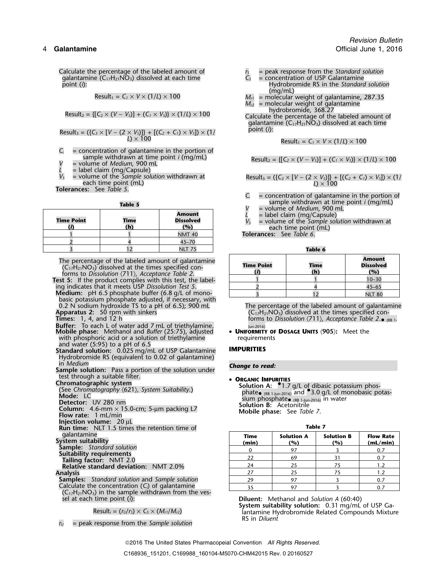Calculate the percentage of the labeled amount of  $r_s$  = peak response from the *Standard solution* galantamine  $(C_{17}H_{21}NO_3)$  dissolved at each time  $C_s$  = concentration of USP Galantamine galantamine (C<sub>17</sub>H<sub>21</sub>NO<sub>3</sub>) dissolved at each time<br>point (*i*):

$$
Result_1 = C_1 \times V \times (1/L) \times 100
$$

$$
Result_2 = \{ [C_2 \times (V - V_5)] + (C_1 \times V_5) \} \times (1/L) \times 100
$$

Result<sub>3</sub> = (
$$
\{C_3 \times [V - (2 \times V_5)]\} + [(C_2 + C_1) \times V_5]) \times (1)
$$
 point (*i*):  
  $L$ ) × 100

 $C_i$  = concentration of galantamine in the portion of sample withdrawn at time point *i* (mg/mL) Result<sup>2</sup> = {[*C<sup>2</sup>* <sup>×</sup> (*<sup>V</sup>* <sup>−</sup> *<sup>V</sup>S*)] + (*C<sup>1</sup>* <sup>×</sup> *<sup>V</sup>S*)} × (1/*L*) ×<sup>100</sup> *<sup>V</sup>* = volume of *Medium*, <sup>900</sup> mL

- 
- 

 $L =$  label claim (mg/Capsule)<br> $V_s =$  volume of the *Sample solution* withdrawn at

**Tolerances:** See *Table 5*.

| <b>Time Point</b> | Time<br>(h) | <b>Amount</b><br><b>Dissolved</b><br>(%) | $-$ vuluitic universibility $\lambda$<br>= label claim (mg/Caps<br>= volume of the Sample<br>each time point (ml |
|-------------------|-------------|------------------------------------------|------------------------------------------------------------------------------------------------------------------|
|                   |             | <b>NMT 40</b>                            | <b>Tolerances:</b> See Table 6.                                                                                  |
|                   |             | 45–70                                    |                                                                                                                  |
|                   |             | NLT 75                                   | Table 6                                                                                                          |

**Medium:** pH 6.5 phosphate buffer (6.8 g/L of monobasic potassium phosphate adjusted, if necessary, with

**Buffer:** To each L of water add 7 mL of triethylamine.<br>**Mobile phase:** Methanol and *Buffer* (25:75), adjusted **• UNIFORMITY OF DOSAGE UNITS** (905): Meet the **Mobile phase:** Methanol and *Buffer* (25:75), adjusted • **UNIFORMITY OF DOSAGE UNITS** 〈**905**〉**:** Meet the

with phosphoric acid or a solution of triethylamine requirements

and water (5:95) to a pH of 6.5 **Standard solution:** 0.025 mg/mL of USP Galantamine **IMPURITIES** Hydrobromide RS (equivalent to 0.02 of galantamine)<br>in *Medium* 

in *Medium Change to read:* **Sample solution:** Pass a portion of the solution under test through a suitable filter.<br>Chromatographic system **• ORGANIC IMPURITIES**<br>Solution A:  $^{\circ}1.7$ 

- 
- **Injection volume:** 20 µL

**Run time:** NLT 1.5 times the retention time of **Table 7** 

**Samples:** *Standard solution* and *Sample solution* Calculate the concentration (C<sub>i</sub>) of galantamine  $(C_{17}H_{21}NO_3)$  in the sample withdrawn from the ves-

*<sup>r</sup><sup>U</sup>* = peak response from the *Sample solution*

- - Hydrobromide RS in the *Standard solution*<br>(mg/mL)
- $M_{r1}$  = molecular weight of galantamine, 287.35  $M_{r2}$  = molecular weight of galantamine = molecular weight of galantamine<br>hydrobromide, 368.27

hydrobromide, 368.27 Result<sup>2</sup> = {[*C<sup>2</sup>* <sup>×</sup> (*<sup>V</sup>* <sup>−</sup> *<sup>V</sup>S*)] + (*C<sup>1</sup>* <sup>×</sup> *<sup>V</sup>S*)} × (1/*L*) ×<sup>100</sup> Calculate the percentage of the labeled amount of galantamine  $(C_{17}H_{21}N\ddot{O}_3)$  dissolved at each time point (*i*):

 $Result_1 = C_1 \times V \times (1/L) \times 100$ 

Result<sub>2</sub> = {
$$
[C_2 \times (V - V_5)] + (C_1 \times V_5)
$$
} × (1/L) × 100

olume of the *Sample solution* withdrawn at Result<sub>3</sub> =  $({C_3} \times [V - (2 \times V_3)]) + [{(C_2 + C_1) \times V_5}] \times (1/\sqrt{2})$ <br>each time point (mL)

- $C_i$  = concentration of galantamine in the portion of **Table 5 Table 5 Table 5 V** = volume of *Medium*, 900 mL
	-
	-
	- $L =$  label claim (mg/Capsule)<br>  $V_s =$  volume of the *Sample solution* withdrawn at **(***i***) (h) (%)** each time point (mL)

| The percentage of the labeled amount of galantamine<br>$(C_{17}H_{21}NO_3)$ dissolved at the times specified con-<br>forms to Dissolution $\langle 711 \rangle$ , Acceptance Table 2. | <b>Time Point</b> | <b>Time</b><br>(h) | Amount<br><b>Dissolved</b><br>(%) |
|---------------------------------------------------------------------------------------------------------------------------------------------------------------------------------------|-------------------|--------------------|-----------------------------------|
| <b>est 5:</b> If the product complies with this test, the label-                                                                                                                      |                   |                    | $10 - 30$                         |
| ing indicates that it meets USP Dissolution Test 5.                                                                                                                                   |                   |                    | $45 - 65$                         |
| <b>Medium:</b> $pH 6.5$ phosphate buffer $(6.8 \text{ g/L of mono-})$                                                                                                                 |                   |                    | NII TRO                           |

0.2 N sodium hydroxide TS to a pH of 6.5); 900 mL The percentage of the labeled amount of galantamine<br>Apparatus 2: 50 rpm with sinkers  $(C_{17}H_{21}NO_3)$  dissolved at the times specified con-**Apparatus 2:** 50 rpm with sinkers (C<sub>17</sub>H<sub>21</sub>NO<sub>3</sub>) dissolved at the times specified con-<br>Times: 1, 4, and 12 h (<sub>R)</sub> example 1 and the times specified con-**Times:** 1, 4, and 12 h **forms to** *Dissolution (7***11)***, Acceptance Table 2***. • (RB 1-**

Chromatographic system<br>
Chromatographic system<br>
(See *Chromatography (621), System Suitability*.) shall be a solution A: <sup>●</sup>1.7 g/L of dibasic potassium phos-<br>
phate• (RB 1-Jun-2016) and <sup>●</sup>3.0 g/L of monobasic po (See C*hromatography* (621), System Suitability.)<br>Mode: LC<br>Datector: LIV 280 nm Mode: LC<br>
Detector: UV 280 nm<br>
Detector: UV 280 nm<br>
Column: 4.6-mm × 15.0-cm; 5-µm packing L7<br> **Solution B:** Acetonitrile<br> **Mobile phase:** See *Table 7*.<br> **Flow rate:** 1 mL/min

| galantamine<br>System suitability                          | Time<br>(min) | <b>Solution A</b><br>(%) | <b>Solution B</b><br>(%) | <b>Flow Rate</b><br>(mL/min) |
|------------------------------------------------------------|---------------|--------------------------|--------------------------|------------------------------|
| <b>Sample:</b> Standard solution                           |               |                          |                          | 0.7                          |
| Suitability requirements<br><b>Tailing factor: NMT 2.0</b> | 22            | 69                       |                          |                              |
| <b>Relative standard deviation: NMT 2.0%</b>               | 24            | 25                       |                          |                              |
| Analysis                                                   | 27            | 25                       |                          |                              |
| <b>Samples:</b> Standard solution and Sample solution      | 29            | 97                       |                          | 0.7                          |
| Calculate the concentration $(C_i)$ of galantamine         | 35            | 97                       |                          |                              |

sel at each time point (*i*): **Diluent:** Methanol and *Solution A* (60:40)

**System suitability solution:** 0.31 mg/mL of USP Ga- Result*<sup>i</sup>* = (*<sup>r</sup>U*/*<sup>r</sup>S*) <sup>×</sup> *<sup>C</sup><sup>S</sup>* <sup>×</sup> (*Mr1*/*Mr2*) lantamine Hydrobromide Related Compounds Mixture RS in *Diluent*

2016 The United States Pharmacopeial Convention *All Rights Reserved.*